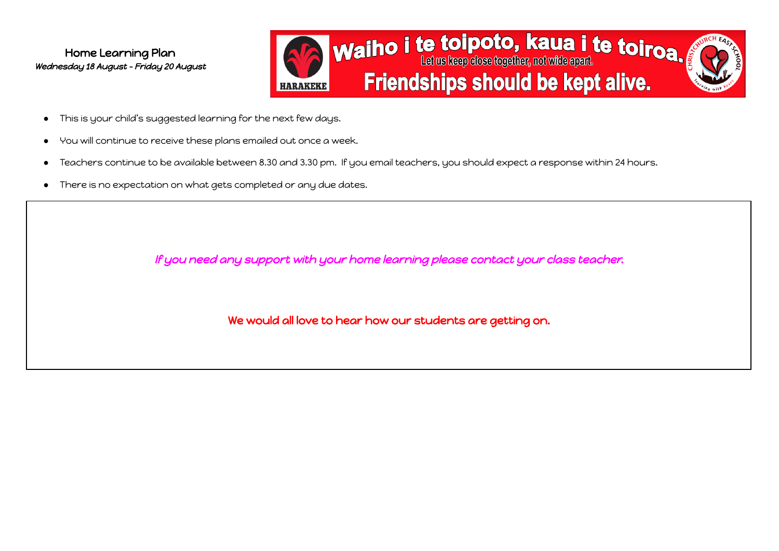

- This is your child's suggested learning for the next few days.
- You will continue to receive these plans emailed out once a week.
- Teachers continue to be available between 8.30 and 3.30 pm. If you email teachers, you should expect a response within 24 hours.
- There is no expectation on what gets completed or any due dates.

If you need any support with your home learning please contact your class teacher.

We would all love to hear how our students are getting on.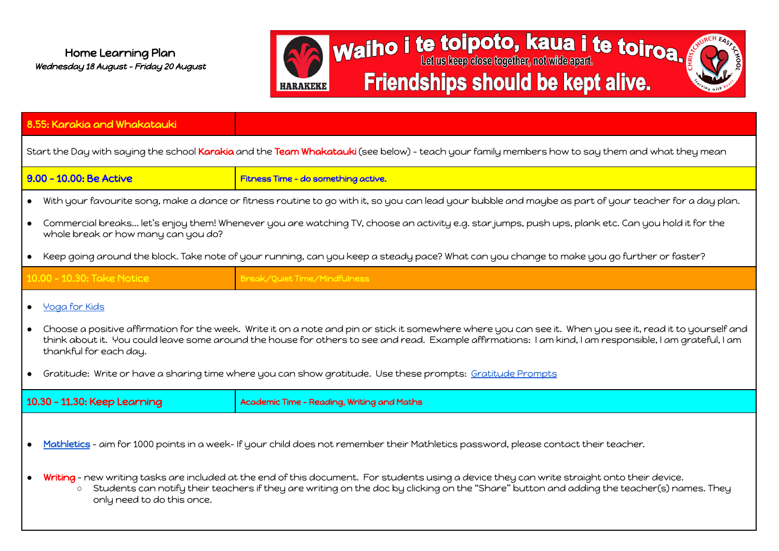

| 8.55: Karakia and Whakatauki                                                                                                                                                                                                                                                                                                                                   |                                                                                                                                                                                                                                                                                           |  |  |
|----------------------------------------------------------------------------------------------------------------------------------------------------------------------------------------------------------------------------------------------------------------------------------------------------------------------------------------------------------------|-------------------------------------------------------------------------------------------------------------------------------------------------------------------------------------------------------------------------------------------------------------------------------------------|--|--|
| Start the Day with saying the school Karakia and the Team Whakatauki (see below) – teach your family members how to say them and what they mean                                                                                                                                                                                                                |                                                                                                                                                                                                                                                                                           |  |  |
| 9.00 - 10.00: Be Active                                                                                                                                                                                                                                                                                                                                        | Fitness Time - do something active.                                                                                                                                                                                                                                                       |  |  |
| $\bullet$                                                                                                                                                                                                                                                                                                                                                      | With your favourite song, make a dance or fitness routine to go with it, so you can lead your bubble and maybe as part of your teacher for a day plan.                                                                                                                                    |  |  |
| Commercial breaks let's enjoy them! Whenever you are watching TV, choose an activity e.g. star jumps, push ups, plank etc. Can you hold it for the<br>whole break or how many can you do?                                                                                                                                                                      |                                                                                                                                                                                                                                                                                           |  |  |
| Keep going around the block. Take note of your running, can you keep a steady pace? What can you change to make you go further or faster?<br>$\bullet$                                                                                                                                                                                                         |                                                                                                                                                                                                                                                                                           |  |  |
| 10.00 - 10.30: Take Notice                                                                                                                                                                                                                                                                                                                                     | Break/Quiet Time/Mindfulness                                                                                                                                                                                                                                                              |  |  |
| • Yoga for Kids                                                                                                                                                                                                                                                                                                                                                |                                                                                                                                                                                                                                                                                           |  |  |
| Choose a positive affirmation for the week. Write it on a note and pin or stick it somewhere where you can see it. When you see it, read it to yourself and<br>$\bullet$<br>think about it. You could leave some around the house for others to see and read. Example affirmations: I am kind, I am responsible, I am grateful, I am<br>thankful for each day. |                                                                                                                                                                                                                                                                                           |  |  |
| Gratitude: Write or have a sharing time where you can show gratitude. Use these prompts: Gratitude Prompts                                                                                                                                                                                                                                                     |                                                                                                                                                                                                                                                                                           |  |  |
| 10.30 - 11.30: Keep Learning                                                                                                                                                                                                                                                                                                                                   | Academic Time - Reading, Writing and Maths                                                                                                                                                                                                                                                |  |  |
|                                                                                                                                                                                                                                                                                                                                                                |                                                                                                                                                                                                                                                                                           |  |  |
|                                                                                                                                                                                                                                                                                                                                                                | Mathletics - aim for 1000 points in a week- If your child does not remember their Mathletics password, please contact their teacher.                                                                                                                                                      |  |  |
| $\circ$<br>only need to do this once.                                                                                                                                                                                                                                                                                                                          | Writing - new writing tasks are included at the end of this document. For students using a device they can write straight onto their device.<br>Students can notify their teachers if they are writing on the doc by clicking on the "Share" button and adding the teacher(s) names. They |  |  |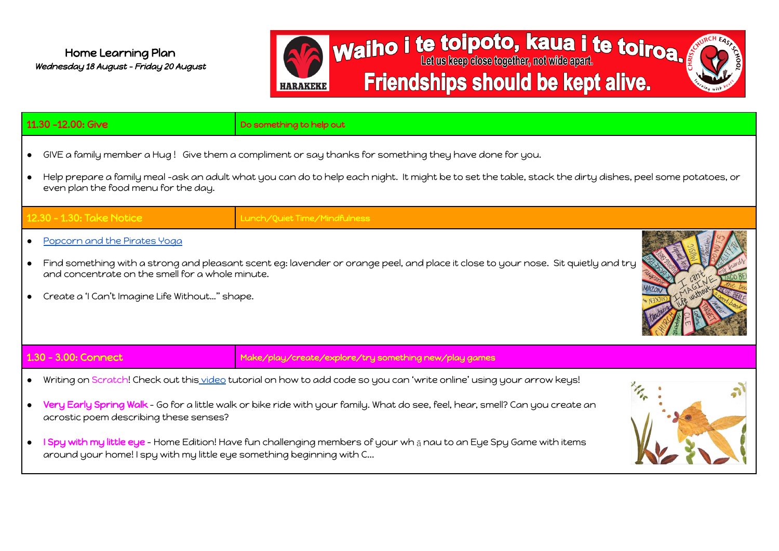

|           | 11.30 -12.00: Give                                                                                                                                                                                                                                                                                          | Do something to help out                                                                                                                                                                                                                                                                                                                                                        |  |
|-----------|-------------------------------------------------------------------------------------------------------------------------------------------------------------------------------------------------------------------------------------------------------------------------------------------------------------|---------------------------------------------------------------------------------------------------------------------------------------------------------------------------------------------------------------------------------------------------------------------------------------------------------------------------------------------------------------------------------|--|
| $\bullet$ | GIVE a family member a Hug! Give them a compliment or say thanks for something they have done for you.<br>Help prepare a family meal -ask an adult what you can do to help each night. It might be to set the table, stack the dirty dishes, peel some potatoes, or<br>even plan the food menu for the day. |                                                                                                                                                                                                                                                                                                                                                                                 |  |
|           | 12.30 - 1.30: Take Notice                                                                                                                                                                                                                                                                                   | Lunch/Quiet Time/Mindfulness                                                                                                                                                                                                                                                                                                                                                    |  |
| $\bullet$ | Popcorn and the Pirates Yoga<br>Find something with a strong and pleasant scent eg: lavender or orange peel, and place it close to your nose. Sit quietly and try<br>and concentrate on the smell for a whole minute.<br>Create a 'I Can't Imagine Life Without" shape.                                     |                                                                                                                                                                                                                                                                                                                                                                                 |  |
|           | 1.30 - 3.00: Connect                                                                                                                                                                                                                                                                                        | Make/play/create/explore/try something new/play games                                                                                                                                                                                                                                                                                                                           |  |
| $\bullet$ | acrostic poem describing these senses?<br>around your home! I spy with my little eye something beginning with C                                                                                                                                                                                             | Writing on Scratch! Check out this video tutorial on how to add code so you can 'write online' using your arrow keys!<br>Very Early Spring Walk - Go for a little walk or bike ride with your family. What do see, feel, hear, smell? Can you create an<br>I Spy with my little eye - Home Edition! Have fun challenging members of your wh a nau to an Eye Spy Game with items |  |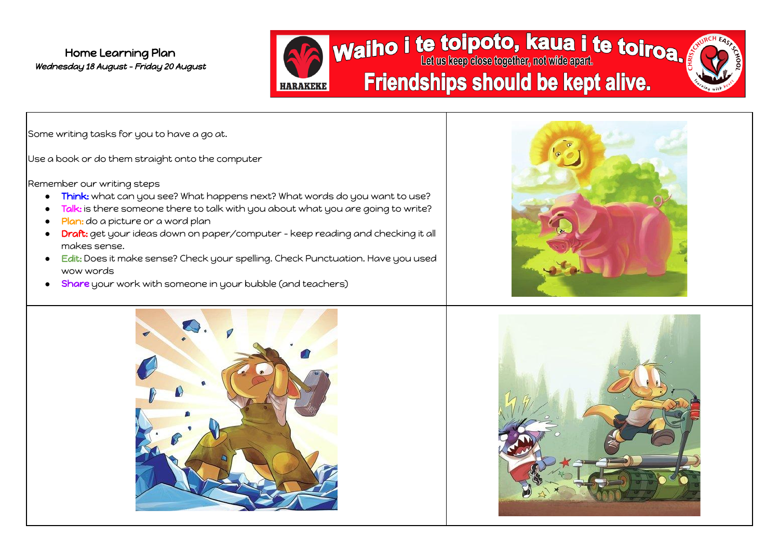

Some writing tasks for you to have a go at.

Use a book or do them straight onto the computer

Remember our writing steps

- Think: what can you see? What happens next? What words do you want to use?
- Talk: is there someone there to talk with you about what you are going to write?
- Plan: do a picture or a word plan
- Draft: get your ideas down on paper/computer keep reading and checking it all makes sense.
- Edit: Does it make sense? Check your spelling. Check Punctuation. Have you used wow words
- Share your work with someone in your bubble (and teachers)